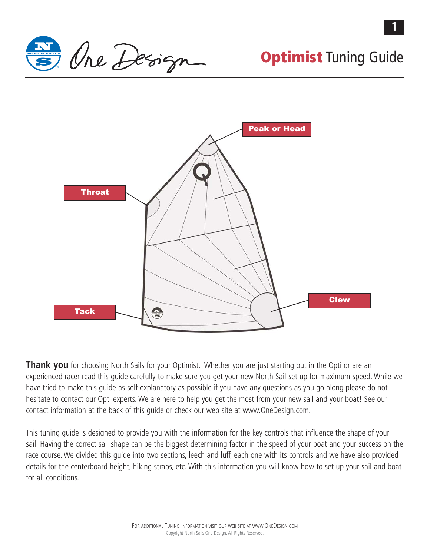

**1**



**Thank you** for choosing North Sails for your Optimist. Whether you are just starting out in the Opti or are an experienced racer read this guide carefully to make sure you get your new North Sail set up for maximum speed. While we have tried to make this guide as self-explanatory as possible if you have any questions as you go along please do not hesitate to contact our Opti experts. We are here to help you get the most from your new sail and your boat! See our contact information at the back of this guide or check our web site at www.OneDesign.com.

This tuning guide is designed to provide you with the information for the key controls that influence the shape of your sail. Having the correct sail shape can be the biggest determining factor in the speed of your boat and your success on the race course. We divided this guide into two sections, leech and luff, each one with its controls and we have also provided details for the centerboard height, hiking straps, etc. With this information you will know how to set up your sail and boat for all conditions.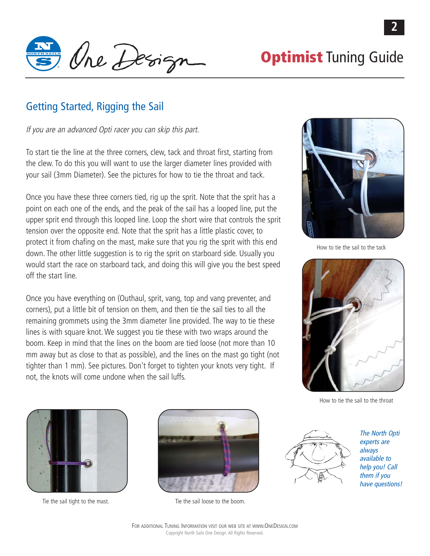

## Getting Started, Rigging the Sail

If you are an advanced Opti racer you can skip this part.

To start tie the line at the three corners, clew, tack and throat first, starting from the clew. To do this you will want to use the larger diameter lines provided with your sail (3mm Diameter). See the pictures for how to tie the throat and tack.

Once you have these three corners tied, rig up the sprit. Note that the sprit has a point on each one of the ends, and the peak of the sail has a looped line, put the upper sprit end through this looped line. Loop the short wire that controls the sprit tension over the opposite end. Note that the sprit has a little plastic cover, to protect it from chafing on the mast, make sure that you rig the sprit with this end down. The other little suggestion is to rig the sprit on starboard side. Usually you would start the race on starboard tack, and doing this will give you the best speed off the start line.

Once you have everything on (Outhaul, sprit, vang, top and vang preventer, and corners), put a little bit of tension on them, and then tie the sail ties to all the remaining grommets using the 3mm diameter line provided. The way to tie these lines is with square knot. We suggest you tie these with two wraps around the boom. Keep in mind that the lines on the boom are tied loose (not more than 10 mm away but as close to that as possible), and the lines on the mast go tight (not tighter than 1 mm). See pictures. Don't forget to tighten your knots very tight. If not, the knots will come undone when the sail luffs.



How to tie the sail to the tack



How to tie the sail to the throat





Tie the sail tight to the mast. Tie the sail loose to the boom.



The North Opti experts are always available to help you! Call them if you have questions!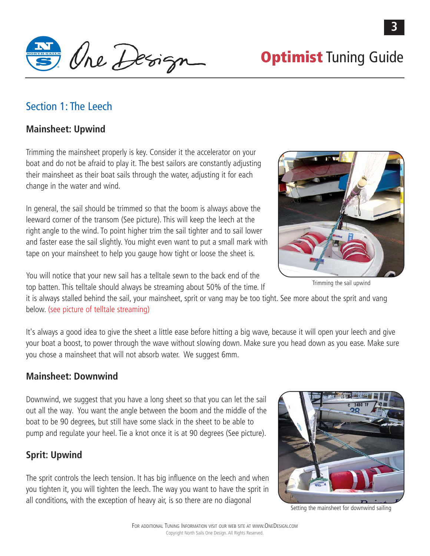I One Design Optimist Tuning Guide

## Section 1: The Leech

### **Mainsheet: Upwind**

Trimming the mainsheet properly is key. Consider it the accelerator on your boat and do not be afraid to play it. The best sailors are constantly adjusting their mainsheet as their boat sails through the water, adjusting it for each change in the water and wind.

In general, the sail should be trimmed so that the boom is always above the leeward corner of the transom (See picture). This will keep the leech at the right angle to the wind. To point higher trim the sail tighter and to sail lower and faster ease the sail slightly. You might even want to put a small mark with tape on your mainsheet to help you gauge how tight or loose the sheet is.



Trimming the sail upwind

You will notice that your new sail has a telltale sewn to the back end of the top batten. This telltale should always be streaming about 50% of the time. If

it is always stalled behind the sail, your mainsheet, sprit or vang may be too tight. See more about the sprit and vang below. (see picture of telltale streaming)

It's always a good idea to give the sheet a little ease before hitting a big wave, because it will open your leech and give your boat a boost, to power through the wave without slowing down. Make sure you head down as you ease. Make sure you chose a mainsheet that will not absorb water. We suggest 6mm.

### **Mainsheet: Downwind**

Downwind, we suggest that you have a long sheet so that you can let the sail out all the way. You want the angle between the boom and the middle of the boat to be 90 degrees, but still have some slack in the sheet to be able to pump and regulate your heel. Tie a knot once it is at 90 degrees (See picture).

## **Sprit: Upwind**

The sprit controls the leech tension. It has big influence on the leech and when you tighten it, you will tighten the leech. The way you want to have the sprit in all conditions, with the exception of heavy air, is so there are no diagonal



Setting the mainsheet for downwind sailing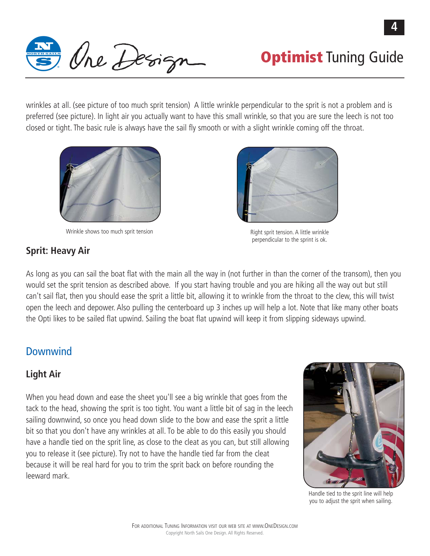

wrinkles at all. (see picture of too much sprit tension) A little wrinkle perpendicular to the sprit is not a problem and is preferred (see picture). In light air you actually want to have this small wrinkle, so that you are sure the leech is not too closed or tight. The basic rule is always have the sail fly smooth or with a slight wrinkle coming off the throat.



Wrinkle shows too much sprit tension **Right sprit tension.** A little wrinkle

perpendicular to the sprint is ok.

## **Sprit: Heavy Air**

As long as you can sail the boat flat with the main all the way in (not further in than the corner of the transom), then you would set the sprit tension as described above. If you start having trouble and you are hiking all the way out but still can't sail flat, then you should ease the sprit a little bit, allowing it to wrinkle from the throat to the clew, this will twist open the leech and depower. Also pulling the centerboard up 3 inches up will help a lot. Note that like many other boats the Opti likes to be sailed flat upwind. Sailing the boat flat upwind will keep it from slipping sideways upwind.

# Downwind

# **Light Air**

When you head down and ease the sheet you'll see a big wrinkle that goes from the tack to the head, showing the sprit is too tight. You want a little bit of sag in the leech sailing downwind, so once you head down slide to the bow and ease the sprit a little bit so that you don't have any wrinkles at all. To be able to do this easily you should have a handle tied on the sprit line, as close to the cleat as you can, but still allowing you to release it (see picture). Try not to have the handle tied far from the cleat because it will be real hard for you to trim the sprit back on before rounding the leeward mark.



Handle tied to the sprit line will help you to adjust the sprit when sailing.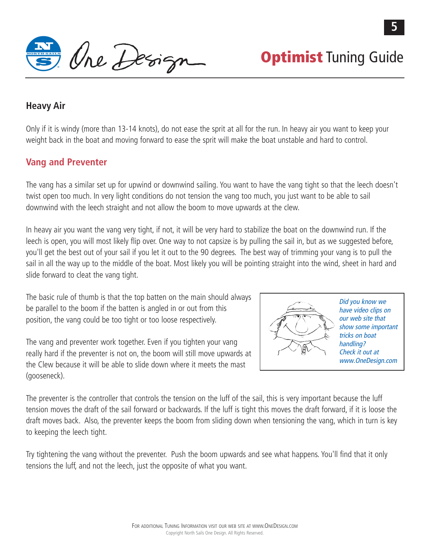N **Optimist** Tuning Guide

### **Heavy Air**

Only if it is windy (more than 13-14 knots), do not ease the sprit at all for the run. In heavy air you want to keep your weight back in the boat and moving forward to ease the sprit will make the boat unstable and hard to control.

### **Vang and Preventer**

The vang has a similar set up for upwind or downwind sailing. You want to have the vang tight so that the leech doesn't twist open too much. In very light conditions do not tension the vang too much, you just want to be able to sail downwind with the leech straight and not allow the boom to move upwards at the clew.

In heavy air you want the vang very tight, if not, it will be very hard to stabilize the boat on the downwind run. If the leech is open, you will most likely flip over. One way to not capsize is by pulling the sail in, but as we suggested before, you'll get the best out of your sail if you let it out to the 90 degrees. The best way of trimming your vang is to pull the sail in all the way up to the middle of the boat. Most likely you will be pointing straight into the wind, sheet in hard and slide forward to cleat the vang tight.

The basic rule of thumb is that the top batten on the main should always be parallel to the boom if the batten is angled in or out from this position, the vang could be too tight or too loose respectively.

The vang and preventer work together. Even if you tighten your vang really hard if the preventer is not on, the boom will still move upwards at the Clew because it will be able to slide down where it meets the mast (gooseneck).



Did you know we have video clips on our web site that show some important tricks on boat handling? Check it out at www.OneDesign.com

The preventer is the controller that controls the tension on the luff of the sail, this is very important because the luff tension moves the draft of the sail forward or backwards. If the luff is tight this moves the draft forward, if it is loose the draft moves back. Also, the preventer keeps the boom from sliding down when tensioning the vang, which in turn is key to keeping the leech tight.

Try tightening the vang without the preventer. Push the boom upwards and see what happens. You'll find that it only tensions the luff, and not the leech, just the opposite of what you want.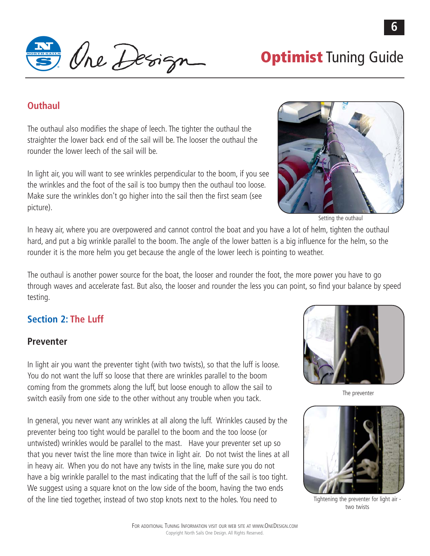Ine Design optimist Tuning Guide

### **Outhaul**

The outhaul also modifies the shape of leech. The tighter the outhaul the straighter the lower back end of the sail will be. The looser the outhaul the rounder the lower leech of the sail will be.

In light air, you will want to see wrinkles perpendicular to the boom, if you see the wrinkles and the foot of the sail is too bumpy then the outhaul too loose. Make sure the wrinkles don't go higher into the sail then the first seam (see picture).



Setting the outhaul

In heavy air, where you are overpowered and cannot control the boat and you have a lot of helm, tighten the outhaul hard, and put a big wrinkle parallel to the boom. The angle of the lower batten is a big influence for the helm, so the rounder it is the more helm you get because the angle of the lower leech is pointing to weather.

The outhaul is another power source for the boat, the looser and rounder the foot, the more power you have to go through waves and accelerate fast. But also, the looser and rounder the less you can point, so find your balance by speed testing.

## **Section 2: The Luff**

### **Preventer**

In light air you want the preventer tight (with two twists), so that the luff is loose. You do not want the luff so loose that there are wrinkles parallel to the boom coming from the grommets along the luff, but loose enough to allow the sail to switch easily from one side to the other without any trouble when you tack.

In general, you never want any wrinkles at all along the luff. Wrinkles caused by the preventer being too tight would be parallel to the boom and the too loose (or untwisted) wrinkles would be parallel to the mast. Have your preventer set up so that you never twist the line more than twice in light air. Do not twist the lines at all in heavy air. When you do not have any twists in the line, make sure you do not have a big wrinkle parallel to the mast indicating that the luff of the sail is too tight. We suggest using a square knot on the low side of the boom, having the two ends of the line tied together, instead of two stop knots next to the holes. You need to



The preventer



Tightening the preventer for light air two twists

**6**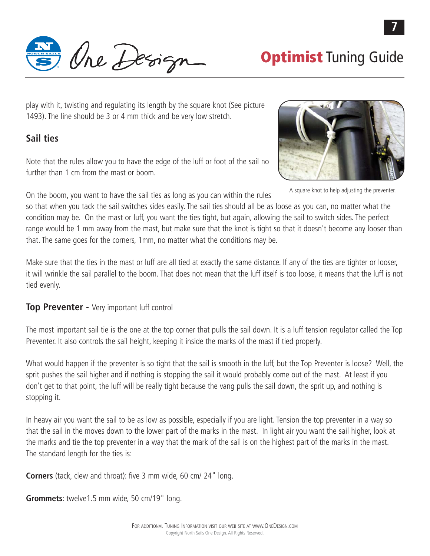Ine Design optimist Tuning Guide

play with it, twisting and regulating its length by the square knot (See picture 1493). The line should be 3 or 4 mm thick and be very low stretch.

### **Sail ties**

Note that the rules allow you to have the edge of the luff or foot of the sail no further than 1 cm from the mast or boom.

On the boom, you want to have the sail ties as long as you can within the rules

so that when you tack the sail switches sides easily. The sail ties should all be as loose as you can, no matter what the condition may be. On the mast or luff, you want the ties tight, but again, allowing the sail to switch sides. The perfect range would be 1 mm away from the mast, but make sure that the knot is tight so that it doesn't become any looser than that. The same goes for the corners, 1mm, no matter what the conditions may be.

Make sure that the ties in the mast or luff are all tied at exactly the same distance. If any of the ties are tighter or looser, it will wrinkle the sail parallel to the boom. That does not mean that the luff itself is too loose, it means that the luff is not tied evenly.

### **Top Preventer - Very important luff control**

The most important sail tie is the one at the top corner that pulls the sail down. It is a luff tension regulator called the Top Preventer. It also controls the sail height, keeping it inside the marks of the mast if tied properly.

What would happen if the preventer is so tight that the sail is smooth in the luff, but the Top Preventer is loose? Well, the sprit pushes the sail higher and if nothing is stopping the sail it would probably come out of the mast. At least if you don't get to that point, the luff will be really tight because the vang pulls the sail down, the sprit up, and nothing is stopping it.

In heavy air you want the sail to be as low as possible, especially if you are light. Tension the top preventer in a way so that the sail in the moves down to the lower part of the marks in the mast. In light air you want the sail higher, look at the marks and tie the top preventer in a way that the mark of the sail is on the highest part of the marks in the mast. The standard length for the ties is:

**Corners** (tack, clew and throat): five 3 mm wide, 60 cm/ 24" long.

**Grommets**: twelve1.5 mm wide, 50 cm/19" long.



A square knot to help adjusting the preventer.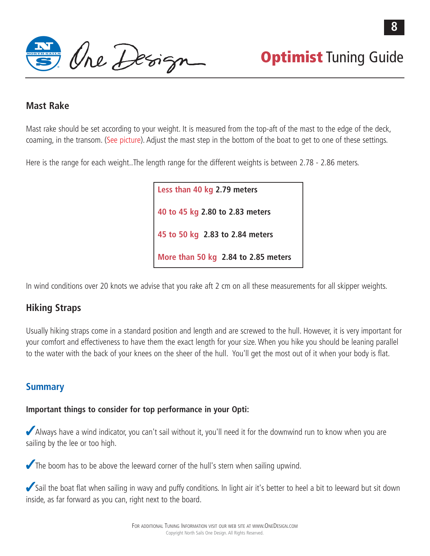$\theta$  Optimist Tuning Guide

### **Mast Rake**

Mast rake should be set according to your weight. It is measured from the top-aft of the mast to the edge of the deck, coaming, in the transom. (See picture). Adjust the mast step in the bottom of the boat to get to one of these settings.

Here is the range for each weight..The length range for the different weights is between 2.78 - 2.86 meters.

**Less than 40 kg 2.79 meters 40 to 45 kg 2.80 to 2.83 meters 45 to 50 kg 2.83 to 2.84 meters More than 50 kg 2.84 to 2.85 meters**

In wind conditions over 20 knots we advise that you rake aft 2 cm on all these measurements for all skipper weights.

### **Hiking Straps**

Usually hiking straps come in a standard position and length and are screwed to the hull. However, it is very important for your comfort and effectiveness to have them the exact length for your size. When you hike you should be leaning parallel to the water with the back of your knees on the sheer of the hull. You'll get the most out of it when your body is flat.

### **Summary**

### **Important things to consider for top performance in your Opti:**

Always have a wind indicator, you can't sail without it, you'll need it for the downwind run to know when you are sailing by the lee or too high.

The boom has to be above the leeward corner of the hull's stern when sailing upwind.

Sail the boat flat when sailing in wavy and puffy conditions. In light air it's better to heel a bit to leeward but sit down inside, as far forward as you can, right next to the board.